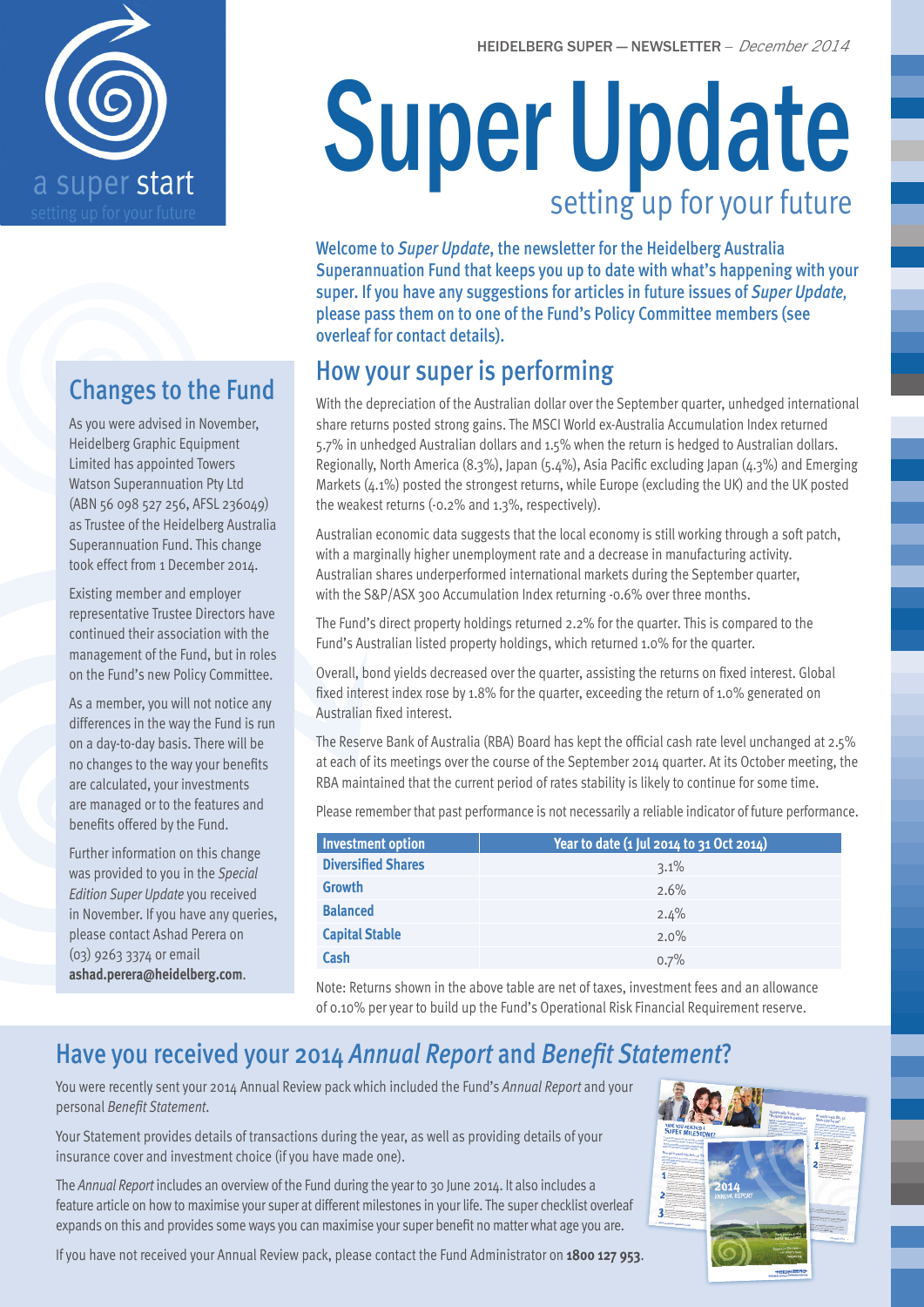

## Changes to the Fund

As you were advised in November, Heidelberg Graphic Equipment Limited has appointed Towers Watson Superannuation Pty Ltd (ABN 56 098 527 256, AFSL 236049) as Trustee of the Heidelberg Australia Superannuation Fund. This change took effect from 1 December 2014.

Existing member and employer representative Trustee Directors have continued their association with the management of the Fund, but in roles on the Fund's new Policy Committee.

As a member, you will not notice any differences in the way the Fund is run on a day-to-day basis. There will be no changes to the way your benefits are calculated, your investments are managed or to the features and benefits offered by the Fund.

Further information on this change was provided to you in the *Special Edition Super Update* you received in November. If you have any queries, please contact Ashad Perera on (03) 9263 3374 or email **ashad.perera@heidelberg.com**.

# Super Update setting up for your future

Welcome to *Super Update*, the newsletter for the Heidelberg Australia Superannuation Fund that keeps you up to date with what's happening with your super. If you have any suggestions for articles in future issues of *Super Update,* please pass them on to one of the Fund's Policy Committee members (see overleaf for contact details).

## How your super is performing

With the depreciation of the Australian dollar over the September quarter, unhedged international share returns posted strong gains. The MSCI World ex-Australia Accumulation Index returned 5.7% in unhedged Australian dollars and 1.5% when the return is hedged to Australian dollars. Regionally, North America (8.3%), Japan (5.4%), Asia Pacific excluding Japan (4.3%) and Emerging Markets (4.1%) posted the strongest returns, while Europe (excluding the UK) and the UK posted the weakest returns (-0.2% and 1.3%, respectively).

Australian economic data suggests that the local economy is still working through a soft patch, with a marginally higher unemployment rate and a decrease in manufacturing activity. Australian shares underperformed international markets during the September quarter, with the S&P/ASX 300 Accumulation Index returning -0.6% over three months.

The Fund's direct property holdings returned 2.2% for the quarter. This is compared to the Fund's Australian listed property holdings, which returned 1.0% for the quarter.

Overall, bond yields decreased over the quarter, assisting the returns on fixed interest. Global fixed interest index rose by 1.8% for the quarter, exceeding the return of 1.0% generated on Australian fixed interest.

The Reserve Bank of Australia (RBA) Board has kept the official cash rate level unchanged at 2.5% at each of its meetings over the course of the September 2014 quarter. At its October meeting, the RBA maintained that the current period of rates stability is likely to continue for some time.

Please remember that past performance is not necessarily a reliable indicator of future performance.

| Investment option         | Year to date (1 Jul 2014 to 31 Oct 2014) |
|---------------------------|------------------------------------------|
| <b>Diversified Shares</b> | 3.1%                                     |
| <b>Growth</b>             | 2.6%                                     |
| <b>Balanced</b>           | 2.4%                                     |
| <b>Capital Stable</b>     | $2.0\%$                                  |
| Cash                      | 0.7%                                     |

Note: Returns shown in the above table are net of taxes, investment fees and an allowance of 0.10% per year to build up the Fund's Operational Risk Financial Requirement reserve.

## Have you received your 2014 *Annual Report* and *Benefit Statement*?

You were recently sent your 2014 Annual Review pack which included the Fund's *Annual Report* and your personal *Benefit Statement*.

Your Statement provides details of transactions during the year, as well as providing details of your insurance cover and investment choice (if you have made one).

The *Annual Report* includes an overview of the Fund during the year to 30 June 2014. It also includes a feature article on how to maximise your super at different milestones in your life. The super checklist overleaf expands on this and provides some ways you can maximise your super benefit no matter what age you are.

If you have not received your Annual Review pack, please contact the Fund Administrator on **1800 127 953**.